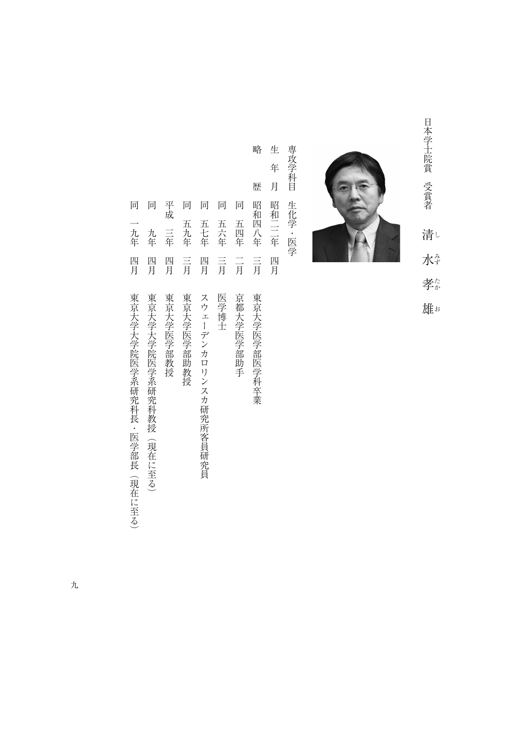日本学生派 エストライン ミストラン しゅうしょう こうしゃ しょうかん しゅうしょう しゅうしょう しゅうしょう しゅうしょう しゅうしょう しゅうしゅう しゅうしゅう しゅうしゅう しゅうしゅう しゅうしゃ 孝 雄

清し

水

日本学士院賞 受賞者

生 専攻学科目 専攻学科目生化学・医学 年 月 生化学·医学 昭和二二年 四月

生年月昭和二二年四月

で、<br>『『『『『『『『『『『『『『『『『『『『『『『『『『『』『『『『『』『『『『』『『『』『『『』『『『』『『『』『『』『『』『『』『『』『『』『『』『『』『『』『『』 歴 同 昭和四八年 五四年  $\frac{-}{\overline{\beta}}$ 言 東京大学医学部医学科卒業

略

- 同五四年二月京都大学医学部助手 京都大学医学部助手
- 一月 こうしょう こうしょう しょうしょう 言 医学博士
- 同五十年1月20日 11月20日 12月20日 12月20日 12月20日 12月20日 12月20日 12月20日 12月20日 12月20日 12月20日 12月20日 12月20日 12月20日 12月20日 12 四月 スウェーデンカロリンスカ研究所客員研究員
- 同五九年三月東京大学医学部助教授 五九年  $\equiv$ <br>
月 東京大学医学部助教授
- 平成三年四月東京大学医学部教授 三年 四月 東京大学医学部教授

平成

同 同 同

> 五七年 五六年

同 同

一九年

- 一年1月東京大学大学院(現在には2019年) 東京大学院(現在には2019年) 東京大学院(現在には2019年) 東京大学院(現在には2019年) 東京大学院(現在には2019年) 東京大学院(現在に<br>1970年) 東京大学院(現在には2019年) 東京大学院(現在には2019年) 東京大学院(現在には2019年) 東京大学院(現在には2019年) 東京大学院(現在には2019年) 東京大学 九年 四月 東京大学大学院医学系研究科教授(現在に至る)
- 『日本大学の研究科長・医学系研究科長・医学系研究科長・医学系研究科長・医学系研究科長・医学系研究科長・医学系研究科長・医学系研究科長・医学系研究科長・医学系研究科長・医学系研究科長・医学系研究科長・医学系研究科長・医学系研究 四月 東京大学大学院医学系研究科長・医学部長 (現在に至る)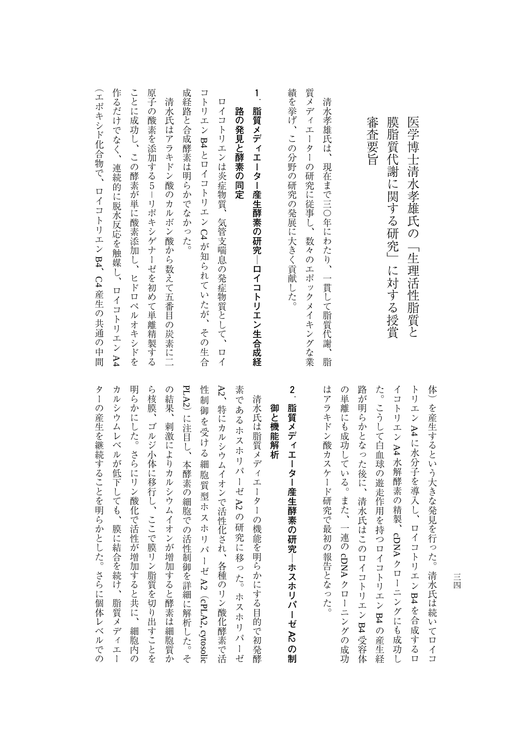| 医学博士清水孝雄氏の<br>「生理活性脂質と                                                    | トリエン A4に水分子を導入し、ロイコ<br>トリエン B4を合成するロ                                                             |
|---------------------------------------------------------------------------|--------------------------------------------------------------------------------------------------|
| 膜脂質代謝に関する研究」<br>に対する授賞                                                    | イコ<br>トリエン A4水解酵素の精製、<br>cDNA クローニングにも成功<br>L                                                    |
| 審<br>査要旨                                                                  | た。こうして白血球の遊走作用を持つロ<br>イコトリエン B4 の産生経                                                             |
|                                                                           | 路が明らかとなった後に、<br>清水氏はこの<br>ロイコトリエン B4 受容体                                                         |
|                                                                           | $\mathcal{O}$<br>・単離にも成功している。<br>また、一連の<br>cDNAクロ<br>ーニングの成功                                     |
| 清水孝雄氏は、<br>現在まで三〇年にわたり、<br>一貫して脂質代謝、<br>脂                                 | はアラキドン酸カスケード研究で最初<br>$\overline{O}$<br>報告となった。                                                   |
| 質メディエ<br>ーター<br>の研究に従事し、数々のエポックメイキングな業                                    |                                                                                                  |
| 績を挙げ、<br>この分野の研究の発展に大きく貢献した。                                              | $\overline{a}$<br>脂質メディエーター産生酵素の研究<br>ホスホリパーゼ A2 の制                                              |
|                                                                           | 御と機能解析                                                                                           |
| 1<br>脂質メディエーター産生酵素の研究―ロイコトリエン生合成経                                         | 清水氏は脂質メディエーターの機能を明らかにする目的で初発酵                                                                    |
| 路<br>の発見と酵素の同定                                                            | 素であ<br>)る<br>ホ<br>・スホ<br>リパーゼ<br>$\lambda$ 2<br>の研究に<br>移った。<br>ホスホ<br>リパ<br>$\,$ $\,$ $\,$<br>ゼ |
| 口<br>イコ<br>トリエンは炎症物質、<br>気管支喘息の発症物質として、<br>ロイ                             | $\lambda_2'$<br>特にカルシウムイオンで活性化され、<br>各種のリン酸化酵素で活                                                 |
| コトリエン<br>$\Box \curvearrowright \text{P3}$<br>イコトリエン C4 が知られていたが、<br>その生合 | 性<br>制<br>御<br>を受ける<br>細<br>胞質型ホスホ<br>リパ<br>$\mathbf{l}$<br>平 A2 (cPLA2, cytosolic               |
| 成経路と合成酵素は明らかでなかった。                                                        | PLA2) に注目し、<br>本酵素の細胞での活性制御を詳細に解析した。そ                                                            |
| 清水氏はアラキドン酸<br>のカルボン酸から数えて五番目の炭素に二                                         | の結果、<br>刺激によりカルシウムイオンが<br>増加すると酵素は細胞質か                                                           |
| 原子の酸素を添加する5-リポキシゲナーゼを初めて単離精製する                                            | ら核膜、<br>$\Box$<br>ルジ小体に移行し、ここで膜<br>リン脂質を切り出すことを                                                  |
| ことに成功し、<br>この酵素が単に酸素添加し、<br>ヒドロペルオキシドを                                    | 明らかに<br>した。さらにリン酸化で活性が<br>増加すると共に、<br>細胞内<br>の                                                   |
| 作るだけでなく、<br>連続的に脱水反応を触媒し、<br>ロイコ<br>トリエン A4                               | カ<br>ルシウ<br>ムレベルが低下しても、膜に結<br>合を続け、脂質<br>ヌデ<br>イエ<br>$\mathbf{I}$                                |
| 工<br>ポキシド化合物で、<br>ロイコトリエン B4、<br>C4 産生の共通の中間                              | ター<br>の産生を継続することを明らかとし<br>た。<br>さらに個体レベルでの                                                       |

|                                        | 清水氏は脂質メディエーターの機能を明らかにする目的で初発酵  | 御と機能解析 | 脂質メディエーター産生酵素の研究―ホスホリパーゼ A2 の制 |                |                                                                       |                           |  | PLA2)に注目し、本酵素の細胞での活性制御を詳細に解析した。そ |
|----------------------------------------|--------------------------------|--------|--------------------------------|----------------|-----------------------------------------------------------------------|---------------------------|--|----------------------------------|
| 性制御を受ける細胞質型ホスホリパーゼA2 (cPLA2, cytosolic |                                |        |                                | $\overline{c}$ |                                                                       | はアラキドン酸カスケード研究で最初の報告となった。 |  |                                  |
| A2、特にカルシウムイオンで活性化され、各種のリン酸化酵素で活        | 素であるホスホリパーゼ A2の研究に移った。 ホスホリパーゼ |        |                                |                |                                                                       |                           |  |                                  |
|                                        |                                |        |                                |                |                                                                       |                           |  |                                  |
| た。こうして白血球の遊走作用を持つロイコトリエン B4 の産生経       |                                |        |                                |                | 路が明らかとなった後に、清水氏はこのロイコトリエン B4 受容体<br>の単離にも成功している。また、一連の cDNA クローニングの成功 |                           |  |                                  |
|                                        |                                |        |                                |                | イコトリエン A4 水解酵素の精製、cDNA クローニングにも成功し                                    |                           |  | トリエン A4に水分子を導入し、ロイコトリエン B4を合成するロ |
|                                        |                                |        |                                |                |                                                                       |                           |  |                                  |
|                                        |                                |        |                                |                | 体)を産生するという大きな発見を行った。清水氏は続いてロイコ                                        |                           |  |                                  |

三<br>四 三四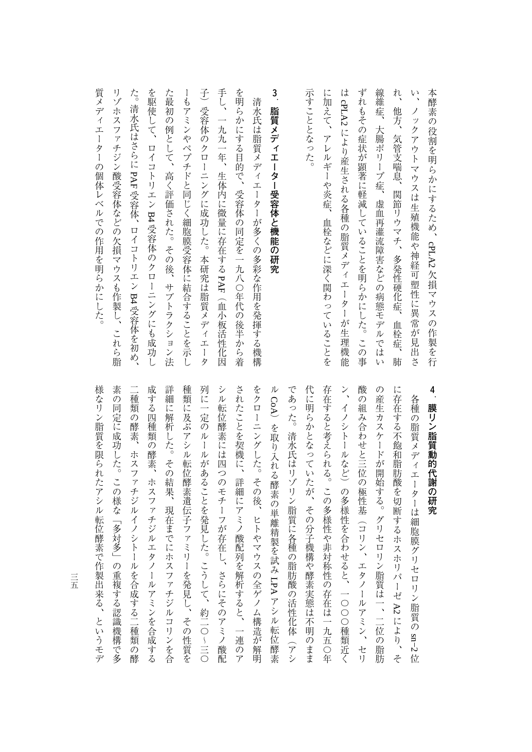| 本酵素の役割を明らかにするため、<br>cPLA2欠損マウスの作製を行                    | 4<br>膜<br>$\blacksquare$  |
|--------------------------------------------------------|---------------------------|
| $\frac{1}{2}$<br>ノッ<br>クアウトマウスは生殖機能や神経可塑性に異常が見出さ       | 各種                        |
| れ、<br>他方、<br>気管支喘息、関節リウマチ、<br>多発性硬化症、血栓症、<br>肺         | に存在+                      |
| 線維症、<br>大腸ポリープ症、虚血再灌流障害などの病態モデル<br>では<br>۷Ì            | の産生・                      |
| ずれもその症状が顕著に軽減していることを明らかにした。この事                         | 酸<br>の組<br>7 <sup>1</sup> |
| は cPLA2 により産生される各種の脂質メディエーター<br>が生理機能                  | ン、イ<br>$\lambda$          |
| に加えて、<br>アレルギーや炎症、血栓などに深く関わっていることを                     | 存在すっ                      |
| 示すこととなった。                                              | 代に明ら                      |
|                                                        | であっ<br>J.                 |
| $\ddot{\phantom{a}}$<br>脂質メディエーター受容体と機能の研究             | $\frac{1}{2}$             |
| 清水氏は脂質メディエーターが多くの多彩な作用を発揮する機構                          | をクロー                      |
| を明らかにする目的で、受容体の同定を一九八〇年代の後半から着                         | されたこ                      |
| 手し、<br>一九九一年、<br>生体内に微量に存在する PAF<br>(血小板活性化因           | シル転告                      |
| 子)受容体のクローニングに成功した。本研究は脂質<br>メディ<br>I<br>$\,$ $\,$<br>タ | 列に一つ                      |
| ーもアミンやペプチドと同じく細胞膜受容体に結合することを示し                         | 種類に立                      |
| た最初の例として、<br>高く評価された。その後、<br>サブトラクショ<br>ン<br>法         | 詳細に\$                     |
| を駆使して、<br>ロイコトリエン<br>B4受容体のクロ<br>ーニングにも成功し             | 成する<br><b>TITT</b>        |
| た。清水氏はさらに PAF受容体、ロイコトリエン B4 受容体を初め、                    | 一種類<br>$\sqrt{2}$         |
| リゾホスファチジン酸受容体などの欠損マウスも作製し、これら脂                         | 素の同台                      |

**セント・ストラント・ストラックス** リン脂質動的代謝の研究

素の同定に成功した。この様な「多対多」の重複する認識機構で多 様なリン脂質を限られたアシル転位酵素で作製出来る、というモデ 様なリン脂質を限られたアシル転位酵素で作製出来る、というモデ この場合には、この様な「多対多」の重複な関係による認識機構である。この様な「多対象」の重複な関係である。 二種類の酵素、ホスファチジルイノシトールを合成する二種類の酵 人の子供 こうしゅう こうしゅう こうしゅう こうしゅう こうしゅう こうしゅう こうしゅう こうしゅう こうしゃ こうしゅう こうしゅう こうしゅう こうしゅう こうしゅう 詳細に解析した。その結果、現在までにホスファチジルコリンを合 ー、その性質を発見して、その性質を発見し、その性質を発見し、その性質を発見し、その性質を発見し、その性質を発見し、その性質を発見し、その性質を発見し、その性質を発見し、その性質を発見し、その性質を発見し、その性質を発見し 列に一定のルールがあることを発見した。こうして、約二〇〜三〇 シル転位酵素には四つのモチーフが存在し、さらにそのアミノ酸配 さんことを実にすると、ことを実にすると、ことを実にすると、ことを実にすると、ことを実にすると、ことを実にすると、ことを実にすると、ことを実にすると、ことを実にすると、ことを実にすると、ことを実にすると をクローニングした。その後、ヒトやマウスの全ゲノム構造が解明 では、そのように、そのおよび、その結石の結石は、そのおよび、そのおよび、そのおよび、そのおよび、そのおよび、そのおよび、そのおよび、そのおよび、そのおよび、そのおよび、そのおよび、そのおよび、そのおよび、そのおよび、そのおよび、そのおよび、そのおよび、そのおよび、そのおよび、そのおよび、そのおよび、そのおよび、そのおよび、そのおよび、そのおよび、そのおよび、そのおよび、そのおよび、そのおよび、そのおよび、そのおよび、そのおよび、そのおよび、 人には、その分子では、その分子機構や酵素実験をおくなっていたが、その分子機構や酵素実験をおくなっていた。 たちには、この多様性の存在は、この多様性の存在は一九五〇年のことによる。この多様性の存在は、この多様性の存在は一九五〇年のことによる。この多様性の存在は、この多様性の存在は一九五〇年のことによる。この ン、イノシトールなど)の多様性を合わせると、一〇〇〇種類近く ゆうしょう エクス・コン エタノールアミン エタリールアミン しゅうしゅう しゅうしゅう しゅうしゅう しゅうしゅう しゅうしゅう しゅうしゅう しゅうしゅう の産生カスケードが開始する。グリセロリン脂質は一、二位の脂肪 に作るホスホリパーゼを切断するホスホリパーゼを切断するホスホリパーゼを切断するホスホリパーゼを切断するホスホリパーゼを切断するホスホリパーゼを切断するホスホリパーゼを切断するホスホリパーゼに関するホス 各種の脂質メディエーターは細胞膜グリセロリン脂質のの酵素、ホスファチジルイノシトールを合成する二種類の酵 四種類の酵素、ホスファチジルエタノールアミンを合成する 位酵素には四つのモチーフが存在し、さらにそのアミノ酸配 **らかとなっていたが、その分子機構や酵素実態は不明のまま** ると考えられる。この多様性や非対称性の存在は一九五○年 み合わせと三位の極性基(コリン、エタノールアミン、セリ ヵスケードが開始する。グリセロリン脂質は一、二位の脂肪 する不飽和脂肪酸を切断するホスホリパーゼ A2 により、そ **<sup>胖析した。</sup>その結果、現在までにホスファチジルコリンを合 及ぶアシル転位酵素遺伝子ファミリーを発見し、その性質を** 疋のルールがあることを発見した。こうして、約二○〜三○ - ニングした。その後、ヒトやマウスの全ゲノム構造が解明 に。清水氏はリゾリン脂質に各種の脂肪酸の活性化体(アシ <シトールなど) の多様性を合わせると、一〇〇〇種類近く ことを契機に、詳細にアミノ酸配列を解析すると、一連のア を取り入れる酵素の単離精製を試み LPA アシル転位酵素 )を取り入れる酵素の単離精製を試みアシル転位酵素 sn−2

三五

質メディエーターの個体レベルでの作用を明らかにした。

質メディエーターの個体レベルでの作用を明らかにした。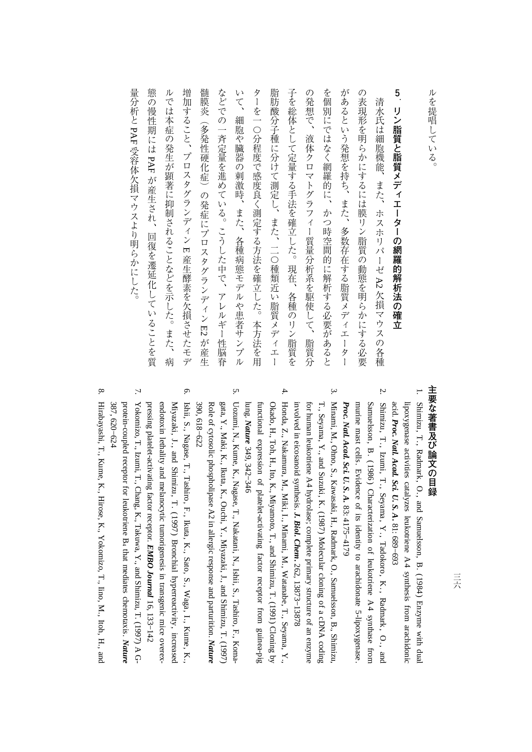| ï      |
|--------|
| 5      |
| ŀ,     |
| E<br>Ĺ |
|        |
|        |
|        |
| 2      |
| г      |

## **5 リンピューターの場合は、その場合は、その場合を制御を指す。**

態の慢性期には PAF が産生され、回復を遷延化していることを質 いて、 ターを一〇分程度で感度良く測定する方法を確立した。本方法を用 を個別にではなく網羅的に、かつ時空間的に解析する必要があると があるという発想を持ち、また、多数存在する脂質メディエーター の表現形を明らかにするには膜リン脂質の動態を明らかにする必要 ルでは本症の発生が顕著に抑制されることなどを示した。また、病 増加すること、プロスタグランディン Ε産生酵素を欠損させたモデ 髄膜炎 などでの一斉定量を進めている。こうした中で、アレルギー性脳脊 脂肪酸分子種に分けて測定し、また、二〇種類近い脂質メディエー 子を総体として定量する手法を確立した。現在、各種のリン脂質を の発想で、液体クロマトグラフィー質量分析系を駆使して、脂質分 いちに きょうかん しゅうしょう こうきょう しゅうしょう しゅうしょう しゅうしょう しゅうしょう しゅうしゅう しゅうしょう しゅうしゅう しゅうしゃ しゅうしゃ しゅうしゃ しゅうしゃ しゅうしゃ しゅうしゃ ルマン ルマン スポーツ スポーツ こうしゅうこう こうしゅう こうしゅう こうしゅう こうしゅう こうしゅう こうしゅう こうしゅう こうしん アイ・プラン こうしゅう 増加すること、プロスタグランディン $\ddot{a}$ ただし、アレルギー性能能を進めている。こうした中で、アレルギー性能能を進めている。こうした中で、アレルギー性能能を進めている。こうした中で、アレルギー性能能を進めている。こうした中で、アレルギー性能能 いて、細胞や臓器の刺激時、また、各種病態モデルや患者サンプル ターを一つので、その後に、本方法を用いている方法を用いている方法を用いている方法を用いている方法を用いている方法を用いている方法を用いている方法を用いている方法を用いている方法を用いている方法を用いている方法を用いている方法を用いている方法を用いている方法を用いている方法を用いている方法を用いている方法を用いている方法を用いている方法を用いている方法を用いている方法を用いている方法を用いている方法を用いている方法を用いている方法を用いて 自身には エコン ストール・コン エー・コン エー・コン エー・コン エー・コン エー・コン エー・コン エー・コン エー・コン エー・コン エー・コン エー・コン エー・コン エー・コン エー・コン エー・コン エー・コン 子を総体として定量する手法を確立した。現在、各種のリン脂質を の発見で、微体クロマトグラフィー賞を取得して、精質分析系を取得して、脂質分析系を取得している。 を個別にではなく網羅的に、かつ時空間的に解析する必要があると から、あるという発想を持ち、あるという発見を持ち、また、多数存在する脂質メディエーターの結果を持ち、あるおよび、あるおよび、あるおよび、あるおよび、あるおよび、あるおよび、あるおよび、あるおよび、ある の表現の表現がある。 あから はんしゅう あいしゅう あいしゅう あいしゅう あいしゅう 清水氏は細胞機能、また、ホスホリパーゼ A2 欠損マウスの各種 - ネスホリスト イント・イント イント・イント インター・インター 細胞や臓器の刺激時、また、各種病態モデルや患者サンプル (多発性硬化症) の発症にプロスタグランディン E2が産生 冷性の発症について、その発症にプロスタグランディングの発症について、その発症について、その発症について、その発症について、その発症について、その発症について、その発症について、その発症について、その発症について、 が産生され、回復を遷延化していることを質 産生酵素を欠損させたモデ 欠損マウスの各種 とものですよね。

## 主要な著書及び論文の目録 **ころには、この目録の部分には、この目録の場合をある。**

- ... Shimizu,**ب**: Radmark, O., and Samuelsson, B. (1984) Enzyme with dual acid. lipoxygenaseactivities catalyzes leukotriene A4 synthesis from arachidonic *Proc. Natl. Acad.* $Sci.$   $U.$  *S. A***.** 81: 689−693
- 2. Shimizu, T., Izumi, T., Seyama, Y., Tadokoro,K., Radmark , O . , and *Proc. Natl. Acad.* $Sci.$   $U.$  *S. A.* murine mast cells. Evidence<u>ຊ</u> its identity $\Xi$ arachidonate5-lipoxygenase. Samuelsson, B. ( 1986 ) Characterization of leukotriene A 4 synthase from 83:4175−4179
- Minami, M., Ohno, S., Kawasaki, H., Radmark, O., Samuelsson, B., Shimizu, involvedin. eicosanoid synthesis. *J. Biol. Chem***.** 262, for human leukotriene A4 hydrolase; complete primary structure of an enzyme T., Seyama, $Y$ ., and Suzuki, K.  $(1987)$  Molecular cloning of a cDNA coding 13873−13878

ب.

- 4. Honda, Z., Nakamura, M., Miki, I., Minami, M., Watanabe, T., Seyama, $\mathbf{y}$ lung. functional expression of platelet-activating factor receptor from guinea-pig Okado, H., Toh, H., Ito, K., Miyamoto, T., and Shimizu, T. (1991) Cloning $\mathsf{\acute{e}}$ *Nature* 349, 342−346
- 5. Uozumi, N., Kume, K., Nagase, T., Nakatani, N., Ishii, S., Tashiro, F., Koma-Role of cytosolic phospholipase $\mathcal{R}$  in allergic response andgata, Y., Maki, K., Ikuta, K., Ouchi, Y., Miyazaki, J., and Shimizu, T.<br>Role of cytosolic phospholipase A2 in allergic response and parturition. (1997) *Nature* 390, 618−622
- Ishii, S., Nagase,**ب**. Tashiro, F., Ikuta, K., Sato, S., Waga,I., Kume, K., pressing platelet-activating factor receptor. endotoxin lethality and melanocytic tumorigenesis in transgenic mice overex-Miyazaki, J., and Shimizu, T. (1997) Bronchial hyperreactivity, increased *EMBO Journal* 16, 133−142

6.

 Yokomizo,**ب**. Izumi,**ب**. Chang, K., Takuwa, Y., and Shimizu, T. (1997) A Gprotein-coupled receptor for leukotriene $\mathbf{B}_4$ that mediates chemotaxis. *Nature* 387, 620−624

7.

こうしょう こうかん かんじょう

量分析と PAF受容体欠損マウスより明らかにした。

受容体欠損マウスより明らかにした。

8. Hirabayashi, T., Kume, K., Hirose, K., Yokomizo,**ب**  Iino, M., Itoh,H., and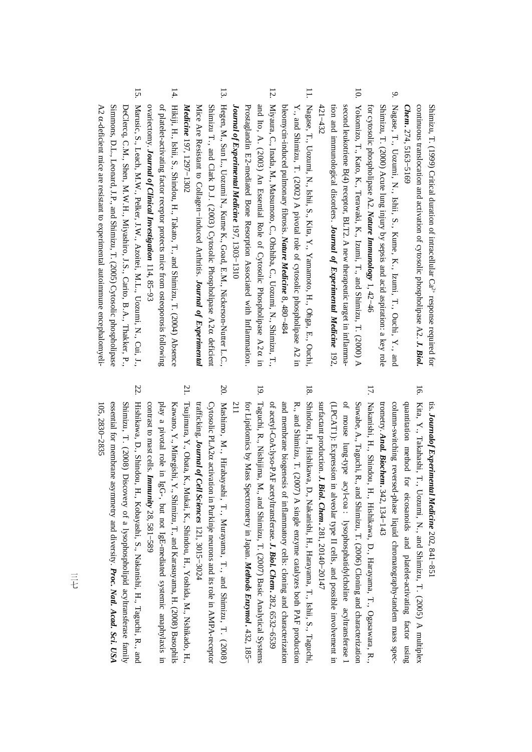Shimizu, T. (1999) Critical duration $\overline{a}$  intracellular $\mathrm{Ca}^{2+}$ response required for continuous translocation and activation<u>ຊ</u> cytosolic phospholipase A2. *J. Biol. Chem***.** 274, 5163−5169

- 9. Nagase, T., Uozumi, N., Ishii, S., Kume, K., Izumi, T., Ouchi, Y., and for cytosolic phospholipase A2. Shimizu, T. (2000) Acute lung injury by sepsis and acid aspiration: a key role *Nature Immunology* 1, 42−46
- 10. $421 - 432$ 421−432 tion andsecond Yokomizo, leukotriene immunological T., Kato, K., B(4) receptor, disorders. Terawaki, K., BLT2.*Journal* A new Izumi, *of* therapeutic T., and Shimizu, *Experimental* target *Medicine* in, T. (2000) inflamma-192, A
- 11. Nagase,**ب**  Uozumi, N., Ishii, S., Kita, $\mathbf{Y}$  Yamamoto, H., Ohga, E., Ouchi, bleomycin-induced pulmonary fibrosis. Y., and Shimizu, T. (2002) A pivotal role of cytosolic phospholipase $\Omega$ in. *Nature Medicine*  $\infty$ 480−484
- 12. Miyaura, $\Omega$  Inada, $X$  Matsumoto, C., Ohshiba,ີ .<br>: Uozumi, N., Shimizu,**ب** and Ito, A. (2003) An Essential Role of Cytosolic Phospholipase A2α in. *Journal of Experimental Medicine* Prostaglandin E2-mediated Bone Resorption Associated with Inflammation. 197, 1303−1310
- 13. Hegen, M., Sun L., Uozumi N., Kume K., Goad, E.M., Nickerson-Nutter L.C., Shimizu T., and Clark D.J. (2003) Cytosolic Phospholipase A2α deficient Mice Are Resistant to Collagen−induced Arthritis. *Journal of Experimental Medicine* 197, 1297−1302
- 14. Hikiji, H., Ishii, S., Shindou, H., Takato, T., and Shimizu, T. (2004) Absence ovariectomy. ቧ platelet-activating factor receptor protects mice from osteoporosis following *Journal of Clinical Investigation* 114, 85−93
- 15.Marusic, S., Leach, M.W., Pelker, J.W., Azoitei,M.L., Uozumi, N., Cui,**..** A2 αSimmons, D.L.,Leonard, J.P., and Shimizu, T. (2005) Cytosolic phospholipase DeClercq, C.M., Shen,M.M.H., Miyashiro, J.S., Carito, B.A., Thakker, P., -deficient mice are resistant to experimentalautoimmuneencephalomyeli-

tis. *Journalof Experimental Medicine* 202,

- tis. *Journalof Experimental Medicine* 202, 841–851<br>6. Kita, Y., Takahashi, T., Uozumi, N., and Shimizu T. (2005)A
- In Kita, Y., The Reachan A42, 134–143<br>
Column-swidting teversets-phase liquid chromanography-tandem mass specifical<br>
construction method for cicosants is and phetiel-actions (k.o. 11. Ogas<br>
construction method for cicosan
	-
	-
	-
	-
-